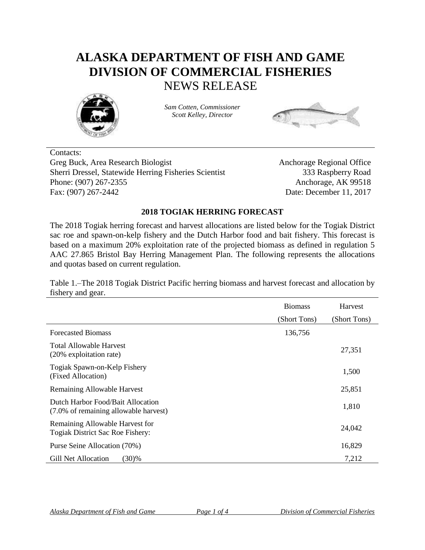## **ALASKA DEPARTMENT OF FISH AND GAME DIVISION OF COMMERCIAL FISHERIES** NEWS RELEASE



*Sam Cotten, Commissioner Scott Kelley, Director*



Contacts: Greg Buck, Area Research Biologist Anchorage Regional Office Sherri Dressel, Statewide Herring Fisheries Scientist 333 Raspberry Road Phone: (907) 267-2355 Anchorage, AK 99518 Fax: (907) 267-2442 Date: December 11, 2017

## **2018 TOGIAK HERRING FORECAST**

The 2018 Togiak herring forecast and harvest allocations are listed below for the Togiak District sac roe and spawn-on-kelp fishery and the Dutch Harbor food and bait fishery. This forecast is based on a maximum 20% exploitation rate of the projected biomass as defined in regulation 5 AAC 27.865 Bristol Bay Herring Management Plan. The following represents the allocations and quotas based on current regulation.

Table 1.*–*The 2018 Togiak District Pacific herring biomass and harvest forecast and allocation by fishery and gear.

|                                                                            | <b>Biomass</b> | Harvest      |
|----------------------------------------------------------------------------|----------------|--------------|
|                                                                            | (Short Tons)   | (Short Tons) |
| <b>Forecasted Biomass</b>                                                  | 136,756        |              |
| <b>Total Allowable Harvest</b><br>(20% exploitation rate)                  |                | 27,351       |
| Togiak Spawn-on-Kelp Fishery<br>(Fixed Allocation)                         |                | 1,500        |
| Remaining Allowable Harvest                                                |                | 25,851       |
| Dutch Harbor Food/Bait Allocation<br>(7.0% of remaining allowable harvest) |                | 1,810        |
| Remaining Allowable Harvest for<br>Togiak District Sac Roe Fishery:        |                | 24,042       |
| Purse Seine Allocation (70%)                                               |                | 16,829       |
| (30)%<br>Gill Net Allocation                                               |                | 7,212        |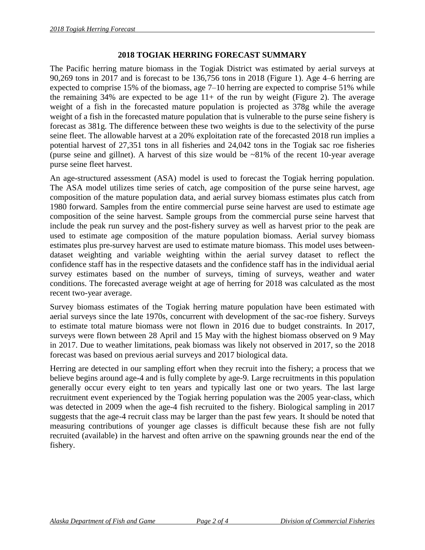## **2018 TOGIAK HERRING FORECAST SUMMARY**

The Pacific herring mature biomass in the Togiak District was estimated by aerial surveys at 90,269 tons in 2017 and is forecast to be 136,756 tons in 2018 (Figure 1). Age 4–6 herring are expected to comprise 15% of the biomass, age 7–10 herring are expected to comprise 51% while the remaining  $34\%$  are expected to be age 11+ of the run by weight (Figure 2). The average weight of a fish in the forecasted mature population is projected as 378g while the average weight of a fish in the forecasted mature population that is vulnerable to the purse seine fishery is forecast as 381g. The difference between these two weights is due to the selectivity of the purse seine fleet. The allowable harvest at a 20% exploitation rate of the forecasted 2018 run implies a potential harvest of 27,351 tons in all fisheries and 24,042 tons in the Togiak sac roe fisheries (purse seine and gillnet). A harvest of this size would be  $\sim 81\%$  of the recent 10-year average purse seine fleet harvest.

An age-structured assessment (ASA) model is used to forecast the Togiak herring population. The ASA model utilizes time series of catch, age composition of the purse seine harvest, age composition of the mature population data, and aerial survey biomass estimates plus catch from 1980 forward. Samples from the entire commercial purse seine harvest are used to estimate age composition of the seine harvest. Sample groups from the commercial purse seine harvest that include the peak run survey and the post-fishery survey as well as harvest prior to the peak are used to estimate age composition of the mature population biomass. Aerial survey biomass estimates plus pre-survey harvest are used to estimate mature biomass. This model uses betweendataset weighting and variable weighting within the aerial survey dataset to reflect the confidence staff has in the respective datasets and the confidence staff has in the individual aerial survey estimates based on the number of surveys, timing of surveys, weather and water conditions. The forecasted average weight at age of herring for 2018 was calculated as the most recent two-year average.

Survey biomass estimates of the Togiak herring mature population have been estimated with aerial surveys since the late 1970s, concurrent with development of the sac-roe fishery. Surveys to estimate total mature biomass were not flown in 2016 due to budget constraints. In 2017, surveys were flown between 28 April and 15 May with the highest biomass observed on 9 May in 2017. Due to weather limitations, peak biomass was likely not observed in 2017, so the 2018 forecast was based on previous aerial surveys and 2017 biological data.

Herring are detected in our sampling effort when they recruit into the fishery; a process that we believe begins around age-4 and is fully complete by age-9. Large recruitments in this population generally occur every eight to ten years and typically last one or two years. The last large recruitment event experienced by the Togiak herring population was the 2005 year-class, which was detected in 2009 when the age-4 fish recruited to the fishery. Biological sampling in 2017 suggests that the age-4 recruit class may be larger than the past few years. It should be noted that measuring contributions of younger age classes is difficult because these fish are not fully recruited (available) in the harvest and often arrive on the spawning grounds near the end of the fishery.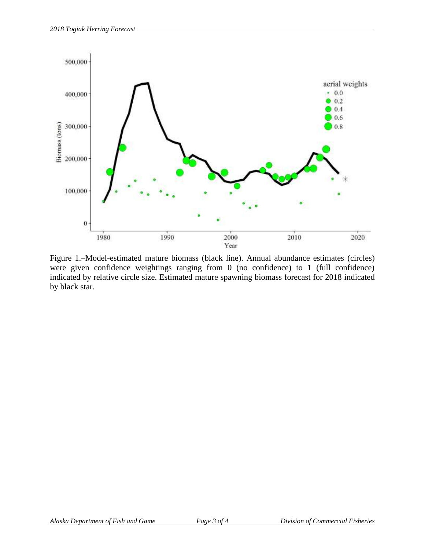

Figure 1.**–**Model-estimated mature biomass (black line). Annual abundance estimates (circles) were given confidence weightings ranging from 0 (no confidence) to 1 (full confidence) indicated by relative circle size. Estimated mature spawning biomass forecast for 2018 indicated by black star.